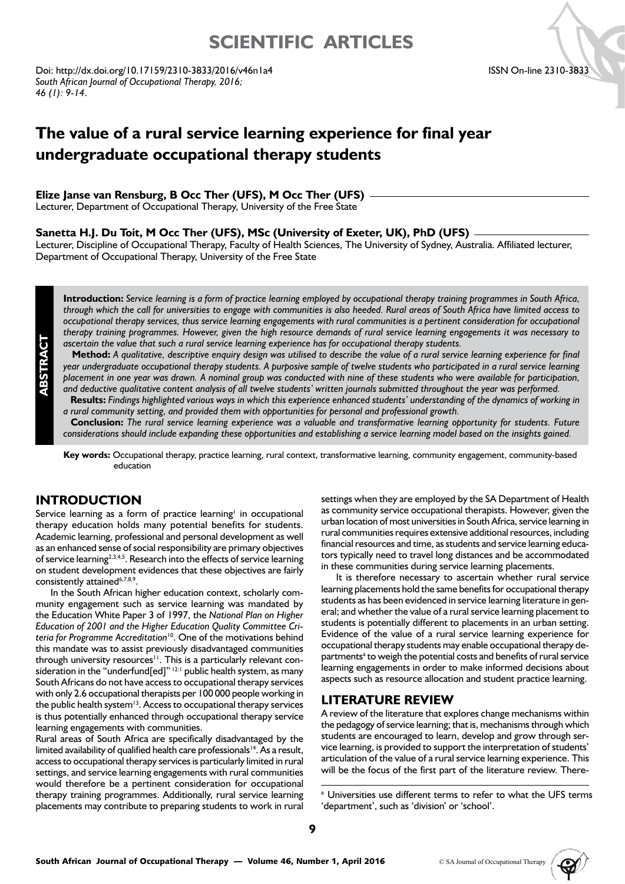# **SCIENTIFIC ARTICLES**

Doi: http://dx.doi.org/10.17159/2310-3833/2016/v46n1a4 *South African Journal of Occupational Therapy, 2016; 46 (1): 9-14*.

#### ISSN On-line 2310-3833

# **The value of a rural service learning experience for final year undergraduate occupational therapy students**

#### **Elize Janse van Rensburg, B Occ Ther (UFS), M Occ Ther (UFS)**

Lecturer, Department of Occupational Therapy, University of the Free State

#### **Sanetta H.J. Du Toit, M Occ Ther (UFS), MSc (University of Exeter, UK), PhD (UFS)**

Lecturer, Discipline of Occupational Therapy, Faculty of Health Sciences, The University of Sydney, Australia. Affiliated lecturer, Department of Occupational Therapy, University of the Free State

**Introduction:** *Service learning is a form of practice learning employed by occupational therapy training programmes in South Africa, through which the call for universities to engage with communities is also heeded. Rural areas of South Africa have limited access to occupational therapy services, thus service learning engagements with rural communities is a pertinent consideration for occupational therapy training programmes. However, given the high resource demands of rural service learning engagements it was necessary to ascertain the value that such a rural service learning experience has for occupational therapy students.*

**Method:** *A qualitative, descriptive enquiry design was utilised to describe the value of a rural service learning experience for final year undergraduate occupational therapy students. A purposive sample of twelve students who participated in a rural service learning placement in one year was drawn. A nominal group was conducted with nine of these students who were available for participation, and deductive qualitative content analysis of all twelve students' written journals submitted throughout the year was performed.*

**Results:** *Findings highlighted various ways in which this experience enhanced students' understanding of the dynamics of working in a rural community setting, and provided them with opportunities for personal and professional growth.*

**Conclusion:** *The rural service learning experience was a valuable and transformative learning opportunity for students. Future considerations should include expanding these opportunities and establishing a service learning model based on the insights gained.*

**Key words:** Occupational therapy, practice learning, rural context, transformative learning, community engagement, community-based education

## **INTRODUCTION**

Service learning as a form of practice learning<sup>1</sup> in occupational therapy education holds many potential benefits for students. Academic learning, professional and personal development as well as an enhanced sense of social responsibility are primary objectives of service learning<sup>2,3,4,5</sup>. Research into the effects of service learning on student development evidences that these objectives are fairly consistently attained<sup>6,7,8,9</sup>.

In the South African higher education context, scholarly community engagement such as service learning was mandated by the Education White Paper 3 of 1997, the *National Plan on Higher Education of 2001 and the Higher Education Quality Committee Criteria for Programme Accreditation*10. One of the motivations behind this mandate was to assist previously disadvantaged communities through university resources<sup>11</sup>. This is a particularly relevant consideration in the "underfund[ed]" |2:1 public health system, as many South Africans do not have access to occupational therapy services with only 2.6 occupational therapists per 100 000 people working in the public health system<sup>13</sup>. Access to occupational therapy services is thus potentially enhanced through occupational therapy service learning engagements with communities.

Rural areas of South Africa are specifically disadvantaged by the limited availability of qualified health care professionals<sup>14</sup>. As a result, access to occupational therapy services is particularly limited in rural settings, and service learning engagements with rural communities would therefore be a pertinent consideration for occupational therapy training programmes. Additionally, rural service learning placements may contribute to preparing students to work in rural settings when they are employed by the SA Department of Health as community service occupational therapists. However, given the urban location of most universities in South Africa, service learning in rural communities requires extensive additional resources, including financial resources and time, as students and service learning educators typically need to travel long distances and be accommodated in these communities during service learning placements.

It is therefore necessary to ascertain whether rural service learning placements hold the same benefits for occupational therapy students as has been evidenced in service learning literature in general; and whether the value of a rural service learning placement to students is potentially different to placements in an urban setting. Evidence of the value of a rural service learning experience for occupational therapy students may enable occupational therapy departments<sup>a</sup> to weigh the potential costs and benefits of rural service learning engagements in order to make informed decisions about aspects such as resource allocation and student practice learning.

### **LITERATURE REVIEW**

A review of the literature that explores change mechanisms within the pedagogy of service learning; that is, mechanisms through which students are encouraged to learn, develop and grow through service learning, is provided to support the interpretation of students' articulation of the value of a rural service learning experience. This will be the focus of the first part of the literature review. There-

<sup>a</sup> Universities use different terms to refer to what the UFS terms 'department', such as 'division' or 'school'.

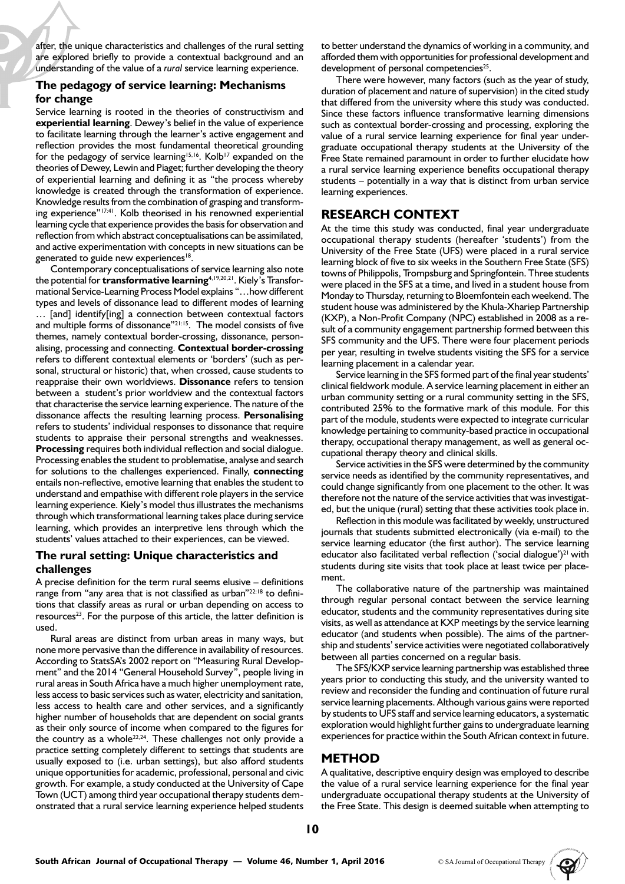after, the unique characteristics and challenges of the rural setting are explored briefly to provide a contextual background and an understanding of the value of a *rural* service learning experience.

### **The pedagogy of service learning: Mechanisms for change**

Service learning is rooted in the theories of constructivism and **experiential learning**. Dewey's belief in the value of experience to facilitate learning through the learner's active engagement and reflection provides the most fundamental theoretical grounding for the pedagogy of service learning<sup>15,16</sup>. Kolb<sup>17</sup> expanded on the theories of Dewey, Lewin and Piaget; further developing the theory of experiential learning and defining it as "the process whereby knowledge is created through the transformation of experience. Knowledge results from the combination of grasping and transforming experience"17:41. Kolb theorised in his renowned experiential learning cycle that experience provides the basis for observation and reflection from which abstract conceptualisations can be assimilated, and active experimentation with concepts in new situations can be generated to guide new experiences<sup>18</sup>.

Contemporary conceptualisations of service learning also note the potential for **transformative learning**4,19,20,21. Kiely's Transformational Service-Learning Process Model explains "…how different types and levels of dissonance lead to different modes of learning … [and] identify[ing] a connection between contextual factors and multiple forms of dissonance"<sup>21:15</sup>. The model consists of five themes, namely contextual border-crossing, dissonance, personalising, processing and connecting. **Contextual border-crossing**  refers to different contextual elements or 'borders' (such as personal, structural or historic) that, when crossed, cause students to reappraise their own worldviews. **Dissonance** refers to tension between a student's prior worldview and the contextual factors that characterise the service learning experience. The nature of the dissonance affects the resulting learning process. **Personalising**  refers to students' individual responses to dissonance that require students to appraise their personal strengths and weaknesses. **Processing** requires both individual reflection and social dialogue. Processing enables the student to problematise, analyse and search for solutions to the challenges experienced. Finally, **connecting** entails non-reflective, emotive learning that enables the student to understand and empathise with different role players in the service learning experience. Kiely's model thus illustrates the mechanisms through which transformational learning takes place during service learning, which provides an interpretive lens through which the students' values attached to their experiences, can be viewed.

### **The rural setting: Unique characteristics and challenges**

A precise definition for the term rural seems elusive – definitions range from "any area that is not classified as urban"<sup>22:18</sup> to definitions that classify areas as rural or urban depending on access to  $resources<sup>23</sup>$ . For the purpose of this article, the latter definition is used.

Rural areas are distinct from urban areas in many ways, but none more pervasive than the difference in availability of resources. According to StatsSA's 2002 report on "Measuring Rural Development" and the 2014 "General Household Survey", people living in rural areas in South Africa have a much higher unemployment rate, less access to basic services such as water, electricity and sanitation, less access to health care and other services, and a significantly higher number of households that are dependent on social grants as their only source of income when compared to the figures for the country as a whole<sup>22,24</sup>. These challenges not only provide a practice setting completely different to settings that students are usually exposed to (i.e. urban settings), but also afford students unique opportunities for academic, professional, personal and civic growth. For example, a study conducted at the University of Cape Town (UCT) among third year occupational therapy students demonstrated that a rural service learning experience helped students

to better understand the dynamics of working in a community, and afforded them with opportunities for professional development and development of personal competencies<sup>25</sup>.

There were however, many factors (such as the year of study, duration of placement and nature of supervision) in the cited study that differed from the university where this study was conducted. Since these factors influence transformative learning dimensions such as contextual border-crossing and processing, exploring the value of a rural service learning experience for final year undergraduate occupational therapy students at the University of the Free State remained paramount in order to further elucidate how a rural service learning experience benefits occupational therapy students – potentially in a way that is distinct from urban service learning experiences.

## **RESEARCH CONTEXT**

At the time this study was conducted, final year undergraduate occupational therapy students (hereafter 'students') from the University of the Free State (UFS) were placed in a rural service learning block of five to six weeks in the Southern Free State (SFS) towns of Philippolis, Trompsburg and Springfontein. Three students were placed in the SFS at a time, and lived in a student house from Monday to Thursday, returning to Bloemfontein each weekend. The student house was administered by the Khula-Xhariep Partnership (KXP), a Non-Profit Company (NPC) established in 2008 as a result of a community engagement partnership formed between this SFS community and the UFS. There were four placement periods per year, resulting in twelve students visiting the SFS for a service learning placement in a calendar year.

Service learning in the SFS formed part of the final year students' clinical fieldwork module. A service learning placement in either an urban community setting or a rural community setting in the SFS, contributed 25% to the formative mark of this module. For this part of the module, students were expected to integrate curricular knowledge pertaining to community-based practice in occupational therapy, occupational therapy management, as well as general occupational therapy theory and clinical skills.

Service activities in the SFS were determined by the community service needs as identified by the community representatives, and could change significantly from one placement to the other. It was therefore not the nature of the service activities that was investigated, but the unique (rural) setting that these activities took place in.

Reflection in this module was facilitated by weekly, unstructured journals that students submitted electronically (via e-mail) to the service learning educator (the first author). The service learning educator also facilitated verbal reflection ('social dialogue') $^{21}$  with students during site visits that took place at least twice per placement.

The collaborative nature of the partnership was maintained through regular personal contact between the service learning educator, students and the community representatives during site visits, as well as attendance at KXP meetings by the service learning educator (and students when possible). The aims of the partnership and students' service activities were negotiated collaboratively between all parties concerned on a regular basis.

The SFS/KXP service learning partnership was established three years prior to conducting this study, and the university wanted to review and reconsider the funding and continuation of future rural service learning placements. Although various gains were reported by students to UFS staff and service learning educators, a systematic exploration would highlight further gains to undergraduate learning experiences for practice within the South African context in future.

## **METHOD**

A qualitative, descriptive enquiry design was employed to describe the value of a rural service learning experience for the final year undergraduate occupational therapy students at the University of the Free State. This design is deemed suitable when attempting to

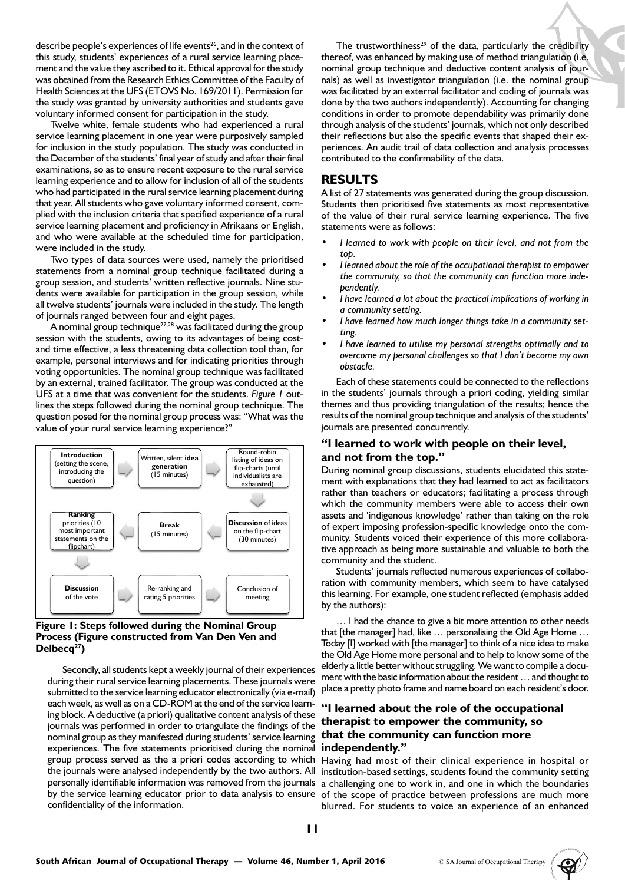describe people's experiences of life events<sup>26</sup>, and in the context of this study, students' experiences of a rural service learning placement and the value they ascribed to it. Ethical approval for the study was obtained from the Research Ethics Committee of the Faculty of Health Sciences at the UFS (ETOVS No. 169/2011). Permission for the study was granted by university authorities and students gave voluntary informed consent for participation in the study.

Twelve white, female students who had experienced a rural service learning placement in one year were purposively sampled for inclusion in the study population. The study was conducted in the December of the students' final year of study and after their final examinations, so as to ensure recent exposure to the rural service learning experience and to allow for inclusion of all of the students who had participated in the rural service learning placement during that year. All students who gave voluntary informed consent, complied with the inclusion criteria that specified experience of a rural service learning placement and proficiency in Afrikaans or English, and who were available at the scheduled time for participation, were included in the study.

Two types of data sources were used, namely the prioritised statements from a nominal group technique facilitated during a group session, and students' written reflective journals. Nine students were available for participation in the group session, while all twelve students' journals were included in the study. The length of journals ranged between four and eight pages.

A nominal group technique27,28 was facilitated during the group session with the students, owing to its advantages of being costand time effective, a less threatening data collection tool than, for example, personal interviews and for indicating priorities through voting opportunities. The nominal group technique was facilitated by an external, trained facilitator. The group was conducted at the UFS at a time that was convenient for the students. *Figure 1* outlines the steps followed during the nominal group technique. The question posed for the nominal group process was: "What was the value of your rural service learning experience?"



#### **Figure 1: Steps followed during the Nominal Group Process (Figure constructed from Van Den Ven and**  Delbecq<sup>27</sup>)

Secondly, all students kept a weekly journal of their experiences during their rural service learning placements. These journals were submitted to the service learning educator electronically (via e-mail) each week, as well as on a CD-ROM at the end of the service learning block. A deductive (a priori) qualitative content analysis of these journals was performed in order to triangulate the findings of the nominal group as they manifested during students' service learning experiences. The five statements prioritised during the nominal group process served as the a priori codes according to which the journals were analysed independently by the two authors. All personally identifiable information was removed from the journals by the service learning educator prior to data analysis to ensure confidentiality of the information.

The trustworthiness<sup>29</sup> of the data, particularly the credibility thereof, was enhanced by making use of method triangulation (i.e. nominal group technique and deductive content analysis of journals) as well as investigator triangulation (i.e. the nominal group was facilitated by an external facilitator and coding of journals was done by the two authors independently). Accounting for changing conditions in order to promote dependability was primarily done through analysis of the students' journals, which not only described their reflections but also the specific events that shaped their experiences. An audit trail of data collection and analysis processes contributed to the confirmability of the data.

## **RESULTS**

A list of 27 statements was generated during the group discussion. Students then prioritised five statements as most representative of the value of their rural service learning experience. The five statements were as follows:

- *• I learned to work with people on their level, and not from the top.*
- *• I learned about the role of the occupational therapist to empower the community, so that the community can function more independently.*
- *• I have learned a lot about the practical implications of working in a community setting.*
- *• I have learned how much longer things take in a community setting.*
- *• I have learned to utilise my personal strengths optimally and to overcome my personal challenges so that I don't become my own obstacle.*

Each of these statements could be connected to the reflections in the students' journals through a priori coding, yielding similar themes and thus providing triangulation of the results; hence the results of the nominal group technique and analysis of the students' journals are presented concurrently.

#### **"I learned to work with people on their level, and not from the top."**

During nominal group discussions, students elucidated this statement with explanations that they had learned to act as facilitators rather than teachers or educators; facilitating a process through which the community members were able to access their own assets and 'indigenous knowledge' rather than taking on the role of expert imposing profession-specific knowledge onto the community. Students voiced their experience of this more collaborative approach as being more sustainable and valuable to both the community and the student.

Students' journals reflected numerous experiences of collaboration with community members, which seem to have catalysed this learning. For example, one student reflected (emphasis added by the authors):

… I had the chance to give a bit more attention to other needs that [the manager] had, like … personalising the Old Age Home … Today [I] worked with [the manager] to think of a nice idea to make the Old Age Home more personal and to help to know some of the elderly a little better without struggling. We want to compile a document with the basic information about the resident … and thought to place a pretty photo frame and name board on each resident's door.

## **"I learned about the role of the occupational therapist to empower the community, so that the community can function more independently."**

Having had most of their clinical experience in hospital or institution-based settings, students found the community setting a challenging one to work in, and one in which the boundaries of the scope of practice between professions are much more blurred. For students to voice an experience of an enhanced

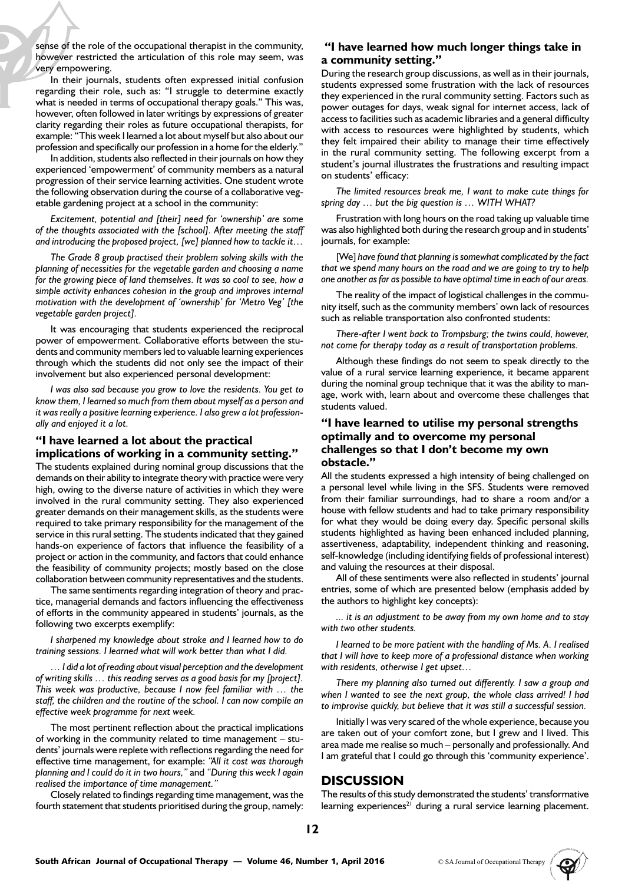sense of the role of the occupational therapist in the community, however restricted the articulation of this role may seem, was very empowering.

In their journals, students often expressed initial confusion regarding their role, such as: "I struggle to determine exactly what is needed in terms of occupational therapy goals." This was, however, often followed in later writings by expressions of greater clarity regarding their roles as future occupational therapists, for example: "This week I learned a lot about myself but also about our profession and specifically our profession in a home for the elderly."

In addition, students also reflected in their journals on how they experienced 'empowerment' of community members as a natural progression of their service learning activities. One student wrote the following observation during the course of a collaborative vegetable gardening project at a school in the community:

*Excitement, potential and [their] need for 'ownership' are some of the thoughts associated with the [school]. After meeting the staff and introducing the proposed project, [we] planned how to tackle it…*

*The Grade 8 group practised their problem solving skills with the planning of necessities for the vegetable garden and choosing a name for the growing piece of land themselves. It was so cool to see, how a simple activity enhances cohesion in the group and improves internal motivation with the development of 'ownership' for 'Metro Veg' [the vegetable garden project].*

It was encouraging that students experienced the reciprocal power of empowerment. Collaborative efforts between the students and community members led to valuable learning experiences through which the students did not only see the impact of their involvement but also experienced personal development:

*I was also sad because you grow to love the residents. You get to know them, I learned so much from them about myself as a person and it was really a positive learning experience. I also grew a lot professionally and enjoyed it a lot.*

#### **"I have learned a lot about the practical implications of working in a community setting."**

The students explained during nominal group discussions that the demands on their ability to integrate theory with practice were very high, owing to the diverse nature of activities in which they were involved in the rural community setting. They also experienced greater demands on their management skills, as the students were required to take primary responsibility for the management of the service in this rural setting. The students indicated that they gained hands-on experience of factors that influence the feasibility of a project or action in the community, and factors that could enhance the feasibility of community projects; mostly based on the close collaboration between community representatives and the students.

The same sentiments regarding integration of theory and practice, managerial demands and factors influencing the effectiveness of efforts in the community appeared in students' journals, as the following two excerpts exemplify:

*I sharpened my knowledge about stroke and I learned how to do training sessions. I learned what will work better than what I did.* 

*… I did a lot of reading about visual perception and the development of writing skills … this reading serves as a good basis for my [project]. This week was productive, because I now feel familiar with … the staff, the children and the routine of the school. I can now compile an effective week programme for next week.*

The most pertinent reflection about the practical implications of working in the community related to time management – students' journals were replete with reflections regarding the need for effective time management, for example: *"All it cost was thorough planning and I could do it in two hours,"* and *"During this week I again realised the importance of time management."*

Closely related to findings regarding time management, was the fourth statement that students prioritised during the group, namely:

### **"I have learned how much longer things take in a community setting."**

During the research group discussions, as well as in their journals, students expressed some frustration with the lack of resources they experienced in the rural community setting. Factors such as power outages for days, weak signal for internet access, lack of access to facilities such as academic libraries and a general difficulty with access to resources were highlighted by students, which they felt impaired their ability to manage their time effectively in the rural community setting. The following excerpt from a student's journal illustrates the frustrations and resulting impact on students' efficacy:

*The limited resources break me, I want to make cute things for spring day … but the big question is … WITH WHAT?*

Frustration with long hours on the road taking up valuable time was also highlighted both during the research group and in students' journals, for example:

[We] have found that planning is somewhat complicated by the fact *that we spend many hours on the road and we are going to try to help one another as far as possible to have optimal time in each of our areas.*

The reality of the impact of logistical challenges in the community itself, such as the community members' own lack of resources such as reliable transportation also confronted students:

*There-after I went back to Trompsburg; the twins could, however, not come for therapy today as a result of transportation problems.*

Although these findings do not seem to speak directly to the value of a rural service learning experience, it became apparent during the nominal group technique that it was the ability to manage, work with, learn about and overcome these challenges that students valued.

#### **"I have learned to utilise my personal strengths optimally and to overcome my personal challenges so that I don't become my own obstacle."**

All the students expressed a high intensity of being challenged on a personal level while living in the SFS. Students were removed from their familiar surroundings, had to share a room and/or a house with fellow students and had to take primary responsibility for what they would be doing every day. Specific personal skills students highlighted as having been enhanced included planning, assertiveness, adaptability, independent thinking and reasoning, self-knowledge (including identifying fields of professional interest) and valuing the resources at their disposal.

All of these sentiments were also reflected in students' journal entries, some of which are presented below (emphasis added by the authors to highlight key concepts):

*... it is an adjustment to be away from my own home and to stay with two other students.*

*I learned to be more patient with the handling of Ms. A. I realised that I will have to keep more of a professional distance when working with residents, otherwise I get upset…*

*There my planning also turned out differently. I saw a group and when I wanted to see the next group, the whole class arrived! I had to improvise quickly, but believe that it was still a successful session.* 

Initially I was very scared of the whole experience, because you are taken out of your comfort zone, but I grew and I lived. This area made me realise so much – personally and professionally. And I am grateful that I could go through this 'community experience'.

## **DISCUSSION**

The results of this study demonstrated the students' transformative learning experiences<sup>21</sup> during a rural service learning placement.

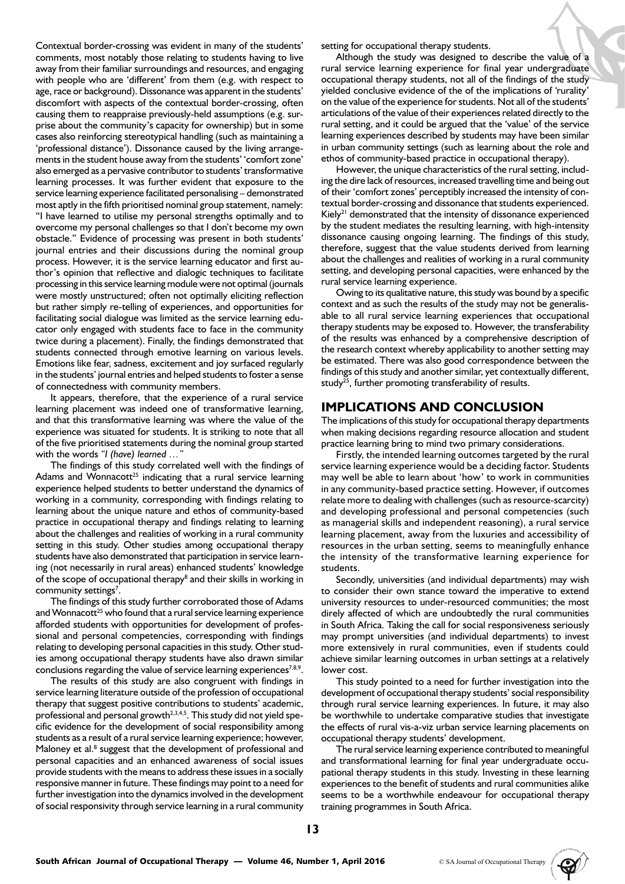Contextual border-crossing was evident in many of the students' comments, most notably those relating to students having to live away from their familiar surroundings and resources, and engaging with people who are 'different' from them (e.g. with respect to age, race or background). Dissonance was apparent in the students' discomfort with aspects of the contextual border-crossing, often causing them to reappraise previously-held assumptions (e.g. surprise about the community's capacity for ownership) but in some cases also reinforcing stereotypical handling (such as maintaining a 'professional distance'). Dissonance caused by the living arrangements in the student house away from the students' 'comfort zone' also emerged as a pervasive contributor to students' transformative learning processes. It was further evident that exposure to the service learning experience facilitated personalising – demonstrated most aptly in the fifth prioritised nominal group statement, namely: "I have learned to utilise my personal strengths optimally and to overcome my personal challenges so that I don't become my own obstacle." Evidence of processing was present in both students' journal entries and their discussions during the nominal group process. However, it is the service learning educator and first author's opinion that reflective and dialogic techniques to facilitate processing in this service learning module were not optimal (journals were mostly unstructured; often not optimally eliciting reflection but rather simply re-telling of experiences, and opportunities for facilitating social dialogue was limited as the service learning educator only engaged with students face to face in the community twice during a placement). Finally, the findings demonstrated that students connected through emotive learning on various levels. Emotions like fear, sadness, excitement and joy surfaced regularly in the students' journal entries and helped students to foster a sense of connectedness with community members.

It appears, therefore, that the experience of a rural service learning placement was indeed one of transformative learning, and that this transformative learning was where the value of the experience was situated for students. It is striking to note that all of the five prioritised statements during the nominal group started with the words *"I (have) learned …"*

The findings of this study correlated well with the findings of Adams and Wonnacott<sup>25</sup> indicating that a rural service learning experience helped students to better understand the dynamics of working in a community, corresponding with findings relating to learning about the unique nature and ethos of community-based practice in occupational therapy and findings relating to learning about the challenges and realities of working in a rural community setting in this study. Other studies among occupational therapy students have also demonstrated that participation in service learning (not necessarily in rural areas) enhanced students' knowledge of the scope of occupational therapy<sup>8</sup> and their skills in working in community settings<sup>7</sup>.

The findings of this study further corroborated those of Adams and Wonnacott<sup>25</sup> who found that a rural service learning experience afforded students with opportunities for development of professional and personal competencies, corresponding with findings relating to developing personal capacities in this study. Other studies among occupational therapy students have also drawn similar conclusions regarding the value of service learning experiences<sup>7,8,9</sup>.

The results of this study are also congruent with findings in service learning literature outside of the profession of occupational therapy that suggest positive contributions to students' academic, professional and personal growth<sup>2,3,4,5</sup>. This study did not yield specific evidence for the development of social responsibility among students as a result of a rural service learning experience; however, Maloney et al.<sup>8</sup> suggest that the development of professional and personal capacities and an enhanced awareness of social issues provide students with the means to address these issues in a socially responsive manner in future. These findings may point to a need for further investigation into the dynamics involved in the development of social responsivity through service learning in a rural community

setting for occupational therapy students.

Although the study was designed to describe the value of a rural service learning experience for final year undergraduate occupational therapy students, not all of the findings of the study yielded conclusive evidence of the of the implications of 'rurality' on the value of the experience for students. Not all of the students' articulations of the value of their experiences related directly to the rural setting, and it could be argued that the 'value' of the service learning experiences described by students may have been similar in urban community settings (such as learning about the role and ethos of community-based practice in occupational therapy).

However, the unique characteristics of the rural setting, including the dire lack of resources, increased travelling time and being out of their 'comfort zones' perceptibly increased the intensity of contextual border-crossing and dissonance that students experienced. Kiely<sup>21</sup> demonstrated that the intensity of dissonance experienced by the student mediates the resulting learning, with high-intensity dissonance causing ongoing learning. The findings of this study, therefore, suggest that the value students derived from learning about the challenges and realities of working in a rural community setting, and developing personal capacities, were enhanced by the rural service learning experience.

Owing to its qualitative nature, this study was bound by a specific context and as such the results of the study may not be generalisable to all rural service learning experiences that occupational therapy students may be exposed to. However, the transferability of the results was enhanced by a comprehensive description of the research context whereby applicability to another setting may be estimated. There was also good correspondence between the findings of this study and another similar, yet contextually different, study<sup>25</sup>, further promoting transferability of results.

### **IMPLICATIONS AND CONCLUSION**

The implications of this study for occupational therapy departments when making decisions regarding resource allocation and student practice learning bring to mind two primary considerations.

Firstly, the intended learning outcomes targeted by the rural service learning experience would be a deciding factor. Students may well be able to learn about 'how' to work in communities in any community-based practice setting. However, if outcomes relate more to dealing with challenges (such as resource-scarcity) and developing professional and personal competencies (such as managerial skills and independent reasoning), a rural service learning placement, away from the luxuries and accessibility of resources in the urban setting, seems to meaningfully enhance the intensity of the transformative learning experience for students.

Secondly, universities (and individual departments) may wish to consider their own stance toward the imperative to extend university resources to under-resourced communities; the most direly affected of which are undoubtedly the rural communities in South Africa. Taking the call for social responsiveness seriously may prompt universities (and individual departments) to invest more extensively in rural communities, even if students could achieve similar learning outcomes in urban settings at a relatively lower cost.

This study pointed to a need for further investigation into the development of occupational therapy students' social responsibility through rural service learning experiences. In future, it may also be worthwhile to undertake comparative studies that investigate the effects of rural vis-a-viz urban service learning placements on occupational therapy students' development.

The rural service learning experience contributed to meaningful and transformational learning for final year undergraduate occupational therapy students in this study. Investing in these learning experiences to the benefit of students and rural communities alike seems to be a worthwhile endeavour for occupational therapy training programmes in South Africa.